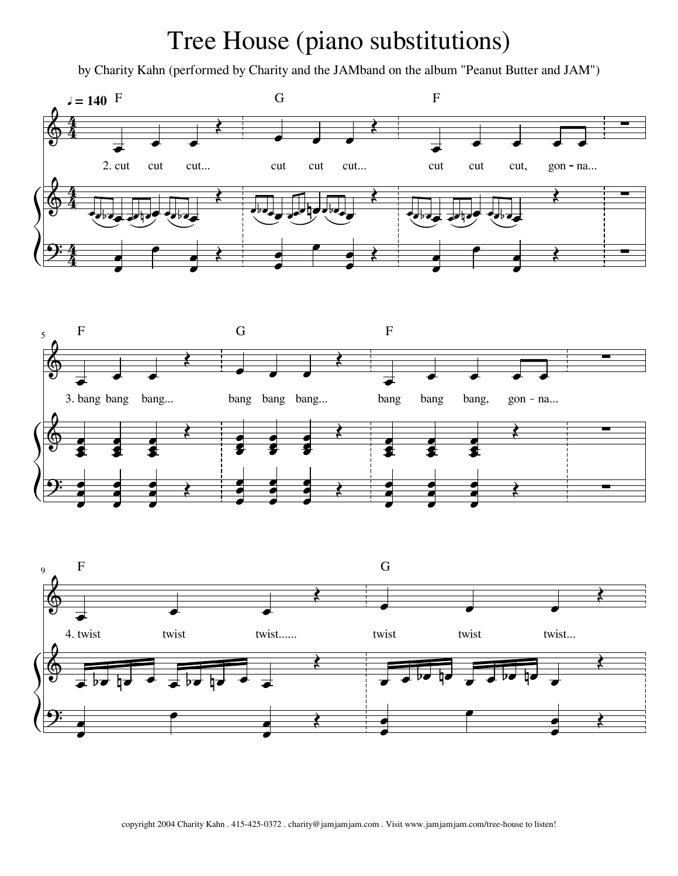## Tree House (piano substitutions)

by Charity Kahn (performed by Charity and the JAMband on the album "Peanut Butter and JAM")